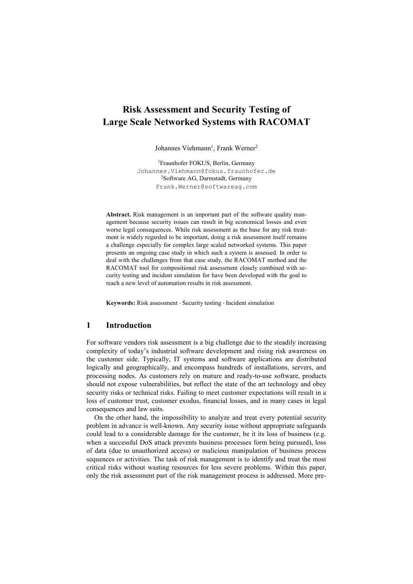# **Risk Assessment and Security Testing of Large Scale Networked Systems with RACOMAT**

Johannes Viehmann<sup>1</sup>, Frank Werner<sup>2</sup>

<sup>1</sup>Fraunhofer FOKUS, Berlin, Germany [Johannes.Viehmann@fokus.fraunhofer.de](mailto:Johannes.Viehmann@fokus.fraunhofer.de) <sup>2</sup>Software AG, Darmstadt, Germany Frank.Werner@softwareag.com

**Abstract.** Risk management is an important part of the software quality management because security issues can result in big economical losses and even worse legal consequences. While risk assessment as the base for any risk treatment is widely regarded to be important, doing a risk assessment itself remains a challenge especially for complex large scaled networked systems. This paper presents an ongoing case study in which such a system is assessed. In order to deal with the challenges from that case study, the RACOMAT method and the RACOMAT tool for compositional risk assessment closely combined with security testing and incident simulation for have been developed with the goal to reach a new level of automation results in risk assessment.

**Keywords:** Risk assessment · Security testing · Incident simulation

## **1 Introduction**

For software vendors risk assessment is a big challenge due to the steadily increasing complexity of today's industrial software development and rising risk awareness on the customer side. Typically, IT systems and software applications are distributed logically and geographically, and encompass hundreds of installations, servers, and processing nodes. As customers rely on mature and ready-to-use software, products should not expose vulnerabilities, but reflect the state of the art technology and obey security risks or technical risks. Failing to meet customer expectations will result in a loss of customer trust, customer exodus, financial losses, and in many cases in legal consequences and law suits.

On the other hand, the impossibility to analyze and treat every potential security problem in advance is well-known. Any security issue without appropriate safeguards could lead to a considerable damage for the customer, be it its loss of business (e.g. when a successful DoS attack prevents business processes form being pursued), loss of data (due to unauthorized access) or malicious manipulation of business process sequences or activities. The task of risk management is to identify and treat the most critical risks without wasting resources for less severe problems. Within this paper, only the risk assessment part of the risk management process is addressed. More pre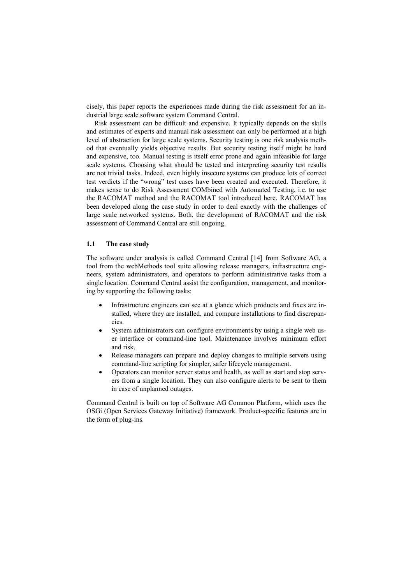cisely, this paper reports the experiences made during the risk assessment for an industrial large scale software system Command Central.

Risk assessment can be difficult and expensive. It typically depends on the skills and estimates of experts and manual risk assessment can only be performed at a high level of abstraction for large scale systems. Security testing is one risk analysis method that eventually yields objective results. But security testing itself might be hard and expensive, too. Manual testing is itself error prone and again infeasible for large scale systems. Choosing what should be tested and interpreting security test results are not trivial tasks. Indeed, even highly insecure systems can produce lots of correct test verdicts if the "wrong" test cases have been created and executed. Therefore, it makes sense to do Risk Assessment COMbined with Automated Testing, i.e. to use the RACOMAT method and the RACOMAT tool introduced here. RACOMAT has been developed along the case study in order to deal exactly with the challenges of large scale networked systems. Both, the development of RACOMAT and the risk assessment of Command Central are still ongoing.

## **1.1 The case study**

The software under analysis is called Command Central [\[14\]](#page-14-0) from Software AG, a tool from the webMethods tool suite allowing release managers, infrastructure engineers, system administrators, and operators to perform administrative tasks from a single location. Command Central assist the configuration, management, and monitoring by supporting the following tasks:

- Infrastructure engineers can see at a glance which products and fixes are installed, where they are installed, and compare installations to find discrepancies.
- System administrators can configure environments by using a single web user interface or command-line tool. Maintenance involves minimum effort and risk.
- Release managers can prepare and deploy changes to multiple servers using command-line scripting for simpler, safer lifecycle management.
- Operators can monitor server status and health, as well as start and stop servers from a single location. They can also configure alerts to be sent to them in case of unplanned outages.

Command Central is built on top of Software AG Common Platform, which uses the OSGi (Open Services Gateway Initiative) framework. Product-specific features are in the form of plug-ins.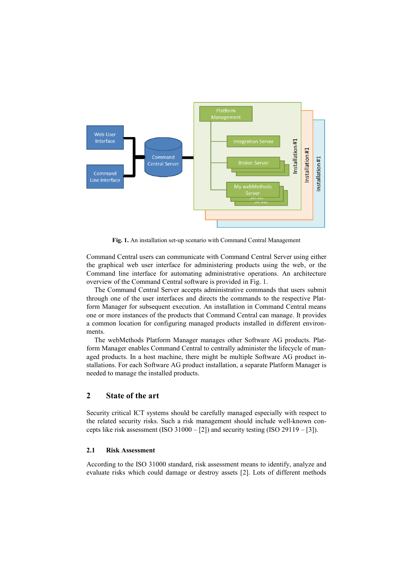

**Fig. 1.** An installation set-up scenario with Command Central Management

<span id="page-2-0"></span>Command Central users can communicate with Command Central Server using either the graphical web user interface for administering products using the web, or the Command line interface for automating administrative operations. An architecture overview of the Command Central software is provided in [Fig. 1.](#page-2-0)

The Command Central Server accepts administrative commands that users submit through one of the user interfaces and directs the commands to the respective Platform Manager for subsequent execution. An installation in Command Central means one or more instances of the products that Command Central can manage. It provides a common location for configuring managed products installed in different environments.

The webMethods Platform Manager manages other Software AG products. Platform Manager enables Command Central to centrally administer the lifecycle of managed products. In a host machine, there might be multiple Software AG product installations. For each Software AG product installation, a separate Platform Manager is needed to manage the installed products.

## **2 State of the art**

Security critical ICT systems should be carefully managed especially with respect to the related security risks. Such a risk management should include well-known concepts like risk assessment (ISO  $31000 - [2]$  $31000 - [2]$ ) and security testing (ISO 29119 – [\[3\]](#page-13-1)).

## **2.1 Risk Assessment**

According to the ISO 31000 standard, risk assessment means to identify, analyze and evaluate risks which could damage or destroy assets [\[2\]](#page-13-0). Lots of different methods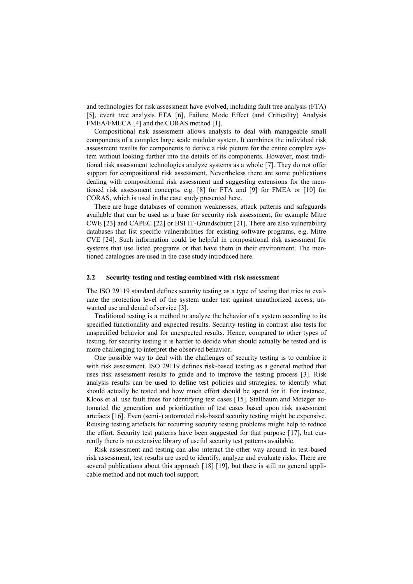and technologies for risk assessment have evolved, including fault tree analysis (FTA) [\[5\]](#page-13-2), event tree analysis ETA [\[6\]](#page-13-3), Failure Mode Effect (and Criticality) Analysis FMEA/FMECA [\[4\]](#page-13-4) and the CORAS method [\[1\]](#page-13-5).

Compositional risk assessment allows analysts to deal with manageable small components of a complex large scale modular system. It combines the individual risk assessment results for components to derive a risk picture for the entire complex system without looking further into the details of its components. However, most traditional risk assessment technologies analyze systems as a whole [\[7\]](#page-13-6). They do not offer support for compositional risk assessment. Nevertheless there are some publications dealing with compositional risk assessment and suggesting extensions for the mentioned risk assessment concepts, e.g. [\[8\]](#page-13-7) for FTA and [\[9\]](#page-13-8) for FMEA or [\[10\]](#page-13-9) for CORAS, which is used in the case study presented here.

There are huge databases of common weaknesses, attack patterns and safeguards available that can be used as a base for security risk assessment, for example Mitre CWE [\[23\]](#page-14-1) and CAPEC [\[22\]](#page-14-2) or BSI IT-Grundschutz [\[21\]](#page-14-3). There are also vulnerability databases that list specific vulnerabilities for existing software programs, e.g. Mitre CVE [\[24\]](#page-14-4). Such information could be helpful in compositional risk assessment for systems that use listed programs or that have them in their environment. The mentioned catalogues are used in the case study introduced here.

#### **2.2 Security testing and testing combined with risk assessment**

The ISO 29119 standard defines security testing as a type of testing that tries to evaluate the protection level of the system under test against unauthorized access, unwanted use and denial of service [\[3\]](#page-13-1).

Traditional testing is a method to analyze the behavior of a system according to its specified functionality and expected results. Security testing in contrast also tests for unspecified behavior and for unexpected results. Hence, compared to other types of testing, for security testing it is harder to decide what should actually be tested and is more challenging to interpret the observed behavior.

One possible way to deal with the challenges of security testing is to combine it with risk assessment. ISO 29119 defines risk-based testing as a general method that uses risk assessment results to guide and to improve the testing process [\[3\]](#page-13-1). Risk analysis results can be used to define test policies and strategies, to identify what should actually be tested and how much effort should be spend for it. For instance, Kloos et al. use fault trees for identifying test cases [\[15\]](#page-14-5). Stallbaum and Metzger automated the generation and prioritization of test cases based upon risk assessment artefacts [\[16\]](#page-14-6). Even (semi-) automated risk-based security testing might be expensive. Reusing testing artefacts for recurring security testing problems might help to reduce the effort. Security test patterns have been suggested for that purpose [\[17\]](#page-14-7), but currently there is no extensive library of useful security test patterns available.

Risk assessment and testing can also interact the other way around: in test-based risk assessment, test results are used to identify, analyze and evaluate risks. There are several publications about this approach [\[18\]](#page-14-8) [\[19\]](#page-14-9), but there is still no general applicable method and not much tool support.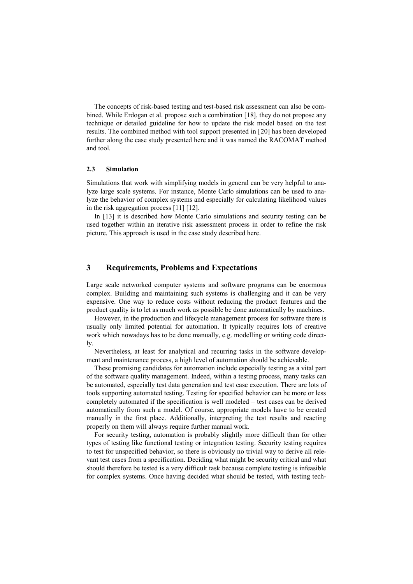The concepts of risk-based testing and test-based risk assessment can also be combined. While Erdogan et al. propose such a combination [\[18\]](#page-14-8), they do not propose any technique or detailed guideline for how to update the risk model based on the test results. The combined method with tool support presented in [\[20\]](#page-14-10) has been developed further along the case study presented here and it was named the RACOMAT method and tool.

#### **2.3 Simulation**

Simulations that work with simplifying models in general can be very helpful to analyze large scale systems. For instance, Monte Carlo simulations can be used to analyze the behavior of complex systems and especially for calculating likelihood values in the risk aggregation process [\[11\]](#page-13-10) [\[12\]](#page-14-11).

In [\[13\]](#page-14-12) it is described how Monte Carlo simulations and security testing can be used together within an iterative risk assessment process in order to refine the risk picture. This approach is used in the case study described here.

## **3 Requirements, Problems and Expectations**

Large scale networked computer systems and software programs can be enormous complex. Building and maintaining such systems is challenging and it can be very expensive. One way to reduce costs without reducing the product features and the product quality is to let as much work as possible be done automatically by machines.

However, in the production and lifecycle management process for software there is usually only limited potential for automation. It typically requires lots of creative work which nowadays has to be done manually, e.g. modelling or writing code directly.

Nevertheless, at least for analytical and recurring tasks in the software development and maintenance process, a high level of automation should be achievable.

These promising candidates for automation include especially testing as a vital part of the software quality management. Indeed, within a testing process, many tasks can be automated, especially test data generation and test case execution. There are lots of tools supporting automated testing. Testing for specified behavior can be more or less completely automated if the specification is well modeled – test cases can be derived automatically from such a model. Of course, appropriate models have to be created manually in the first place. Additionally, interpreting the test results and reacting properly on them will always require further manual work.

For security testing, automation is probably slightly more difficult than for other types of testing like functional testing or integration testing. Security testing requires to test for unspecified behavior, so there is obviously no trivial way to derive all relevant test cases from a specification. Deciding what might be security critical and what should therefore be tested is a very difficult task because complete testing is infeasible for complex systems. Once having decided what should be tested, with testing tech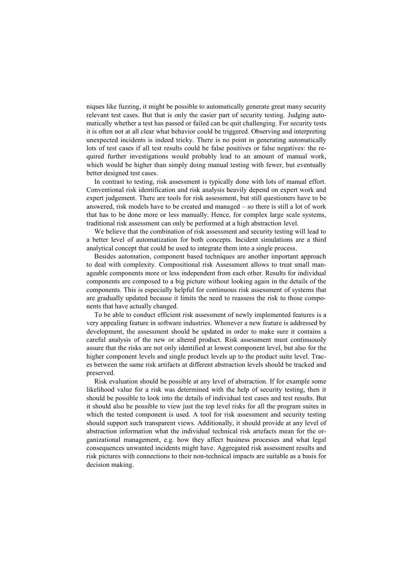niques like fuzzing, it might be possible to automatically generate great many security relevant test cases. But that is only the easier part of security testing. Judging automatically whether a test has passed or failed can be quit challenging. For security tests it is often not at all clear what behavior could be triggered. Observing and interpreting unexpected incidents is indeed tricky. There is no point in generating automatically lots of test cases if all test results could be false positives or false negatives: the required further investigations would probably lead to an amount of manual work, which would be higher than simply doing manual testing with fewer, but eventually better designed test cases.

In contrast to testing, risk assessment is typically done with lots of manual effort. Conventional risk identification and risk analysis heavily depend on expert work and expert judgement. There are tools for risk assessment, but still questioners have to be answered, risk models have to be created and managed – so there is still a lot of work that has to be done more or less manually. Hence, for complex large scale systems, traditional risk assessment can only be performed at a high abstraction level.

We believe that the combination of risk assessment and security testing will lead to a better level of automatization for both concepts. Incident simulations are a third analytical concept that could be used to integrate them into a single process.

Besides automation, component based techniques are another important approach to deal with complexity. Compositional risk Assessment allows to treat small manageable components more or less independent from each other. Results for individual components are composed to a big picture without looking again in the details of the components. This is especially helpful for continuous risk assessment of systems that are gradually updated because it limits the need to reassess the risk to those components that have actually changed.

To be able to conduct efficient risk assessment of newly implemented features is a very appealing feature in software industries. Whenever a new feature is addressed by development, the assessment should be updated in order to make sure it contains a careful analysis of the new or altered product. Risk assessment must continuously assure that the risks are not only identified at lowest component level, but also for the higher component levels and single product levels up to the product suite level. Traces between the same risk artifacts at different abstraction levels should be tracked and preserved.

Risk evaluation should be possible at any level of abstraction. If for example some likelihood value for a risk was determined with the help of security testing, then it should be possible to look into the details of individual test cases and test results. But it should also be possible to view just the top level risks for all the program suites in which the tested component is used. A tool for risk assessment and security testing should support such transparent views. Additionally, it should provide at any level of abstraction information what the individual technical risk artefacts mean for the organizational management, e.g. how they affect business processes and what legal consequences unwanted incidents might have. Aggregated risk assessment results and risk pictures with connections to their non-technical impacts are suitable as a basis for decision making.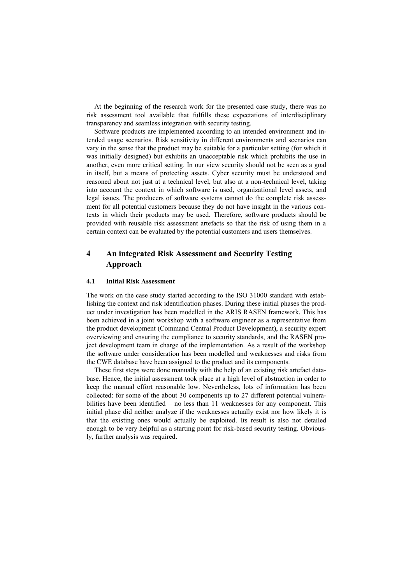At the beginning of the research work for the presented case study, there was no risk assessment tool available that fulfills these expectations of interdisciplinary transparency and seamless integration with security testing.

Software products are implemented according to an intended environment and intended usage scenarios. Risk sensitivity in different environments and scenarios can vary in the sense that the product may be suitable for a particular setting (for which it was initially designed) but exhibits an unacceptable risk which prohibits the use in another, even more critical setting. In our view security should not be seen as a goal in itself, but a means of protecting assets. Cyber security must be understood and reasoned about not just at a technical level, but also at a non-technical level, taking into account the context in which software is used, organizational level assets, and legal issues. The producers of software systems cannot do the complete risk assessment for all potential customers because they do not have insight in the various contexts in which their products may be used. Therefore, software products should be provided with reusable risk assessment artefacts so that the risk of using them in a certain context can be evaluated by the potential customers and users themselves.

## **4 An integrated Risk Assessment and Security Testing Approach**

#### **4.1 Initial Risk Assessment**

The work on the case study started according to the ISO 31000 standard with establishing the context and risk identification phases. During these initial phases the product under investigation has been modelled in the ARIS RASEN framework. This has been achieved in a joint workshop with a software engineer as a representative from the product development (Command Central Product Development), a security expert overviewing and ensuring the compliance to security standards, and the RASEN project development team in charge of the implementation. As a result of the workshop the software under consideration has been modelled and weaknesses and risks from the CWE database have been assigned to the product and its components.

These first steps were done manually with the help of an existing risk artefact database. Hence, the initial assessment took place at a high level of abstraction in order to keep the manual effort reasonable low. Nevertheless, lots of information has been collected: for some of the about 30 components up to 27 different potential vulnerabilities have been identified – no less than 11 weaknesses for any component. This initial phase did neither analyze if the weaknesses actually exist nor how likely it is that the existing ones would actually be exploited. Its result is also not detailed enough to be very helpful as a starting point for risk-based security testing. Obviously, further analysis was required.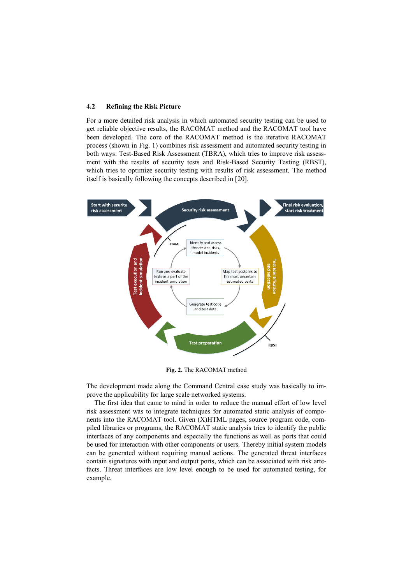#### **4.2 Refining the Risk Picture**

For a more detailed risk analysis in which automated security testing can be used to get reliable objective results, the RACOMAT method and the RACOMAT tool have been developed. The core of the RACOMAT method is the iterative RACOMAT process (shown in [Fig. 1\)](#page-2-0) combines risk assessment and automated security testing in both ways: Test-Based Risk Assessment (TBRA), which tries to improve risk assessment with the results of security tests and Risk-Based Security Testing (RBST), which tries to optimize security testing with results of risk assessment. The method itself is basically following the concepts described in [\[20\]](#page-14-10).



**Fig. 2.** The RACOMAT method

<span id="page-7-0"></span>The development made along the Command Central case study was basically to improve the applicability for large scale networked systems.

The first idea that came to mind in order to reduce the manual effort of low level risk assessment was to integrate techniques for automated static analysis of components into the RACOMAT tool. Given (X)HTML pages, source program code, compiled libraries or programs, the RACOMAT static analysis tries to identify the public interfaces of any components and especially the functions as well as ports that could be used for interaction with other components or users. Thereby initial system models can be generated without requiring manual actions. The generated threat interfaces contain signatures with input and output ports, which can be associated with risk artefacts. Threat interfaces are low level enough to be used for automated testing, for example.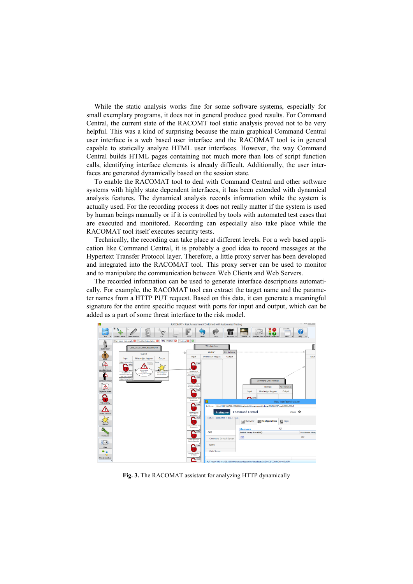While the static analysis works fine for some software systems, especially for small exemplary programs, it does not in general produce good results. For Command Central, the current state of the RACOMT tool static analysis proved not to be very helpful. This was a kind of surprising because the main graphical Command Central user interface is a web based user interface and the RACOMAT tool is in general capable to statically analyze HTML user interfaces. However, the way Command Central builds HTML pages containing not much more than lots of script function calls, identifying interface elements is already difficult. Additionally, the user interfaces are generated dynamically based on the session state.

To enable the RACOMAT tool to deal with Command Central and other software systems with highly state dependent interfaces, it has been extended with dynamical analysis features. The dynamical analysis records information while the system is actually used. For the recording process it does not really matter if the system is used by human beings manually or if it is controlled by tools with automated test cases that are executed and monitored. Recording can especially also take place while the RACOMAT tool itself executes security tests.

Technically, the recording can take place at different levels. For a web based application like Command Central, it is probably a good idea to record messages at the Hypertext Transfer Protocol layer. Therefore, a little proxy server has been developed and integrated into the RACOMAT tool. This proxy server can be used to monitor and to manipulate the communication between Web Clients and Web Servers.

The recorded information can be used to generate interface descriptions automatically. For example, the RACOMAT tool can extract the target name and the parameter names from a HTTP PUT request. Based on this data, it can generate a meaningful signature for the entire specific request with ports for input and output, which can be added as a part of some threat interface to the risk model.



**Fig. 3.** The RACOMAT assistant for analyzing HTTP dynamically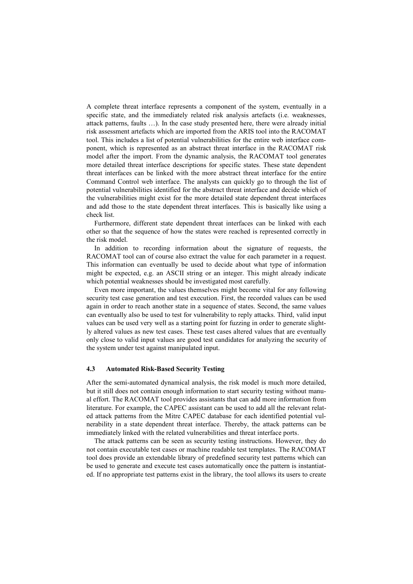A complete threat interface represents a component of the system, eventually in a specific state, and the immediately related risk analysis artefacts (i.e. weaknesses, attack patterns, faults …). In the case study presented here, there were already initial risk assessment artefacts which are imported from the ARIS tool into the RACOMAT tool. This includes a list of potential vulnerabilities for the entire web interface component, which is represented as an abstract threat interface in the RACOMAT risk model after the import. From the dynamic analysis, the RACOMAT tool generates more detailed threat interface descriptions for specific states. These state dependent threat interfaces can be linked with the more abstract threat interface for the entire Command Control web interface. The analysts can quickly go to through the list of potential vulnerabilities identified for the abstract threat interface and decide which of the vulnerabilities might exist for the more detailed state dependent threat interfaces and add those to the state dependent threat interfaces. This is basically like using a check list.

Furthermore, different state dependent threat interfaces can be linked with each other so that the sequence of how the states were reached is represented correctly in the risk model.

In addition to recording information about the signature of requests, the RACOMAT tool can of course also extract the value for each parameter in a request. This information can eventually be used to decide about what type of information might be expected, e.g. an ASCII string or an integer. This might already indicate which potential weaknesses should be investigated most carefully.

Even more important, the values themselves might become vital for any following security test case generation and test execution. First, the recorded values can be used again in order to reach another state in a sequence of states. Second, the same values can eventually also be used to test for vulnerability to reply attacks. Third, valid input values can be used very well as a starting point for fuzzing in order to generate slightly altered values as new test cases. These test cases altered values that are eventually only close to valid input values are good test candidates for analyzing the security of the system under test against manipulated input.

## **4.3 Automated Risk-Based Security Testing**

After the semi-automated dynamical analysis, the risk model is much more detailed, but it still does not contain enough information to start security testing without manual effort. The RACOMAT tool provides assistants that can add more information from literature. For example, the CAPEC assistant can be used to add all the relevant related attack patterns from the Mitre CAPEC database for each identified potential vulnerability in a state dependent threat interface. Thereby, the attack patterns can be immediately linked with the related vulnerabilities and threat interface ports.

The attack patterns can be seen as security testing instructions. However, they do not contain executable test cases or machine readable test templates. The RACOMAT tool does provide an extendable library of predefined security test patterns which can be used to generate and execute test cases automatically once the pattern is instantiated. If no appropriate test patterns exist in the library, the tool allows its users to create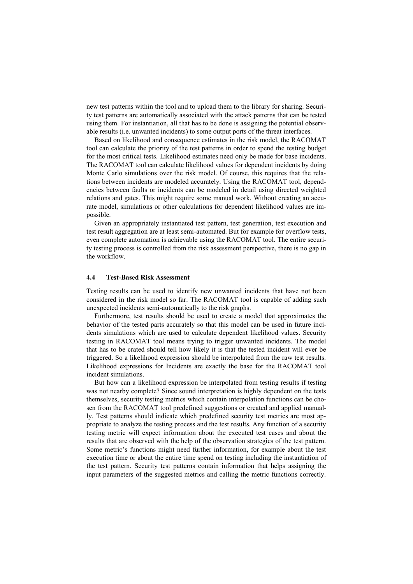new test patterns within the tool and to upload them to the library for sharing. Security test patterns are automatically associated with the attack patterns that can be tested using them. For instantiation, all that has to be done is assigning the potential observable results (i.e. unwanted incidents) to some output ports of the threat interfaces.

Based on likelihood and consequence estimates in the risk model, the RACOMAT tool can calculate the priority of the test patterns in order to spend the testing budget for the most critical tests. Likelihood estimates need only be made for base incidents. The RACOMAT tool can calculate likelihood values for dependent incidents by doing Monte Carlo simulations over the risk model. Of course, this requires that the relations between incidents are modeled accurately. Using the RACOMAT tool, dependencies between faults or incidents can be modeled in detail using directed weighted relations and gates. This might require some manual work. Without creating an accurate model, simulations or other calculations for dependent likelihood values are impossible.

Given an appropriately instantiated test pattern, test generation, test execution and test result aggregation are at least semi-automated. But for example for overflow tests, even complete automation is achievable using the RACOMAT tool. The entire security testing process is controlled from the risk assessment perspective, there is no gap in the workflow.

## **4.4 Test-Based Risk Assessment**

Testing results can be used to identify new unwanted incidents that have not been considered in the risk model so far. The RACOMAT tool is capable of adding such unexpected incidents semi-automatically to the risk graphs.

Furthermore, test results should be used to create a model that approximates the behavior of the tested parts accurately so that this model can be used in future incidents simulations which are used to calculate dependent likelihood values. Security testing in RACOMAT tool means trying to trigger unwanted incidents. The model that has to be crated should tell how likely it is that the tested incident will ever be triggered. So a likelihood expression should be interpolated from the raw test results. Likelihood expressions for Incidents are exactly the base for the RACOMAT tool incident simulations.

But how can a likelihood expression be interpolated from testing results if testing was not nearby complete? Since sound interpretation is highly dependent on the tests themselves, security testing metrics which contain interpolation functions can be chosen from the RACOMAT tool predefined suggestions or created and applied manually. Test patterns should indicate which predefined security test metrics are most appropriate to analyze the testing process and the test results. Any function of a security testing metric will expect information about the executed test cases and about the results that are observed with the help of the observation strategies of the test pattern. Some metric's functions might need further information, for example about the test execution time or about the entire time spend on testing including the instantiation of the test pattern. Security test patterns contain information that helps assigning the input parameters of the suggested metrics and calling the metric functions correctly.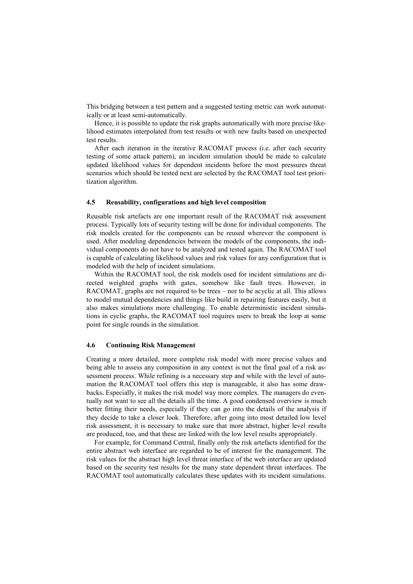This bridging between a test pattern and a suggested testing metric can work automatically or at least semi-automatically.

Hence, it is possible to update the risk graphs automatically with more precise likelihood estimates interpolated from test results or with new faults based on unexpected test results.

After each iteration in the iterative RACOMAT process (i.e. after each security testing of some attack pattern), an incident simulation should be made to calculate updated likelihood values for dependent incidents before the most pressures threat scenarios which should be tested next are selected by the RACOMAT tool test prioritization algorithm.

## **4.5 Reusability, configurations and high level composition**

Reusable risk artefacts are one important result of the RACOMAT risk assessment process. Typically lots of security testing will be done for individual components. The risk models created for the components can be reused wherever the component is used. After modeling dependencies between the models of the components, the individual components do not have to be analyzed and tested again. The RACOMAT tool is capable of calculating likelihood values and risk values for any configuration that is modeled with the help of incident simulations.

Within the RACOMAT tool, the risk models used for incident simulations are directed weighted graphs with gates, somehow like fault trees. However, in RACOMAT, graphs are not required to be trees – nor to be acyclic at all. This allows to model mutual dependencies and things like build in repairing features easily, but it also makes simulations more challenging. To enable deterministic incident simulations in cyclic graphs, the RACOMAT tool requires users to break the loop at some point for single rounds in the simulation.

## **4.6 Continuing Risk Management**

Creating a more detailed, more complete risk model with more precise values and being able to assess any composition in any context is not the final goal of a risk assessment process. While refining is a necessary step and while with the level of automation the RACOMAT tool offers this step is manageable, it also has some drawbacks. Especially, it makes the risk model way more complex. The managers do eventually not want to see all the details all the time. A good condensed overview is much better fitting their needs, especially if they can go into the details of the analysis if they decide to take a closer look. Therefore, after going into most detailed low level risk assessment, it is necessary to make sure that more abstract, higher level results are produced, too, and that these are linked with the low level results appropriately.

For example, for Command Central, finally only the risk artefacts identified for the entire abstract web interface are regarded to be of interest for the management. The risk values for the abstract high level threat interface of the web interface are updated based on the security test results for the many state dependent threat interfaces. The RACOMAT tool automatically calculates these updates with its incident simulations.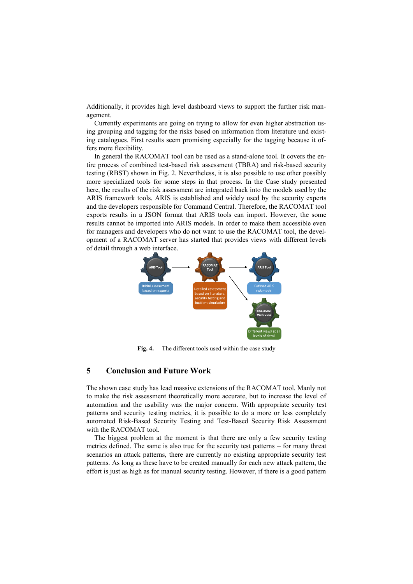Additionally, it provides high level dashboard views to support the further risk management.

Currently experiments are going on trying to allow for even higher abstraction using grouping and tagging for the risks based on information from literature und existing catalogues. First results seem promising especially for the tagging because it offers more flexibility.

In general the RACOMAT tool can be used as a stand-alone tool. It covers the entire process of combined test-based risk assessment (TBRA) and risk-based security testing (RBST) shown in [Fig. 2.](#page-7-0) Nevertheless, it is also possible to use other possibly more specialized tools for some steps in that process. In the Case study presented here, the results of the risk assessment are integrated back into the models used by the ARIS framework tools. ARIS is established and widely used by the security experts and the developers responsible for Command Central. Therefore, the RACOMAT tool exports results in a JSON format that ARIS tools can import. However, the some results cannot be imported into ARIS models. In order to make them accessible even for managers and developers who do not want to use the RACOMAT tool, the development of a RACOMAT server has started that provides views with different levels of detail through a web interface.



**Fig. 4.** The different tools used within the case study

## **5 Conclusion and Future Work**

The shown case study has lead massive extensions of the RACOMAT tool. Manly not to make the risk assessment theoretically more accurate, but to increase the level of automation and the usability was the major concern. With appropriate security test patterns and security testing metrics, it is possible to do a more or less completely automated Risk-Based Security Testing and Test-Based Security Risk Assessment with the RACOMAT tool.

The biggest problem at the moment is that there are only a few security testing metrics defined. The same is also true for the security test patterns – for many threat scenarios an attack patterns, there are currently no existing appropriate security test patterns. As long as these have to be created manually for each new attack pattern, the effort is just as high as for manual security testing. However, if there is a good pattern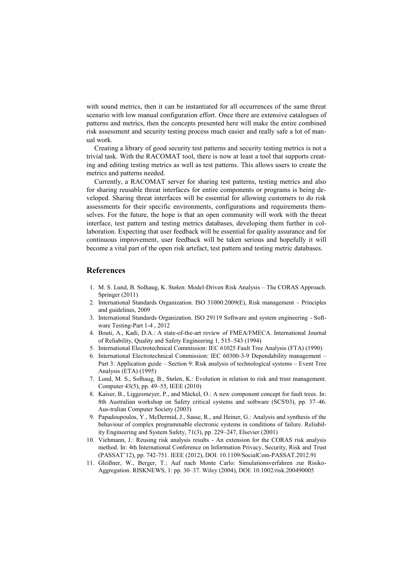with sound metrics, then it can be instantiated for all occurrences of the same threat scenario with low manual configuration effort. Once there are extensive catalogues of patterns and metrics, then the concepts presented here will make the entire combined risk assessment and security testing process much easier and really safe a lot of manual work.

Creating a library of good security test patterns and security testing metrics is not a trivial task. With the RACOMAT tool, there is now at least a tool that supports creating and editing testing metrics as well as test patterns. This allows users to create the metrics and patterns needed.

Currently, a RACOMAT server for sharing test patterns, testing metrics and also for sharing reusable threat interfaces for entire components or programs is being developed. Sharing threat interfaces will be essential for allowing customers to do risk assessments for their specific environments, configurations and requirements themselves. For the future, the hope is that an open community will work with the threat interface, test pattern and testing metrics databases, developing them further in collaboration. Expecting that user feedback will be essential for quality assurance and for continuous improvement, user feedback will be taken serious and hopefully it will become a vital part of the open risk artefact, test pattern and testing metric databases.

## **References**

- <span id="page-13-5"></span>1. M. S. Lund, B. Solhaug, K. Stølen: Model-Driven Risk Analysis – The CORAS Approach. Springer (2011)
- <span id="page-13-0"></span>2. International Standards Organization. ISO 31000:2009(E), Risk management – Principles and guidelines, 2009
- <span id="page-13-1"></span>3. International Standards Organization. ISO 29119 Software and system engineering - Software Testing-Part 1-4 , 2012
- <span id="page-13-4"></span>4. Bouti, A., Kadi, D.A.: A state-of-the-art review of FMEA/FMECA. International Journal of Reliability, Quality and Safety Engineering 1, 515–543 (1994)
- <span id="page-13-2"></span>5. International Electrotechnical Commission: IEC 61025 Fault Tree Analysis (FTA) (1990)
- 6. International Electrotechnical Commission: IEC 60300-3-9 Dependability management Part 3: Application guide – Section 9: Risk analysis of technological systems – Event Tree Analysis (ETA) (1995)
- <span id="page-13-6"></span><span id="page-13-3"></span>7. Lund, M. S., Solhaug, B., Stølen, K.: Evolution in relation to risk and trust management. Computer 43(5), pp. 49–55, IEEE (2010)
- <span id="page-13-7"></span>8. Kaiser, B., Liggesmeyer, P., and Mäckel, O.: A new component concept for fault trees. In: 8th Australian workshop on Safety critical systems and software (SCS'03), pp. 37–46. Aus-tralian Computer Society (2003)
- <span id="page-13-8"></span>9. Papadoupoulos, Y., McDermid, J., Sasse, R., and Heiner, G.: Analysis and synthesis of the behaviour of complex programmable electronic systems in conditions of failure. Reliability Engineering and System Safety, 71(3), pp. 229–247, Elsevier (2001)
- <span id="page-13-9"></span>10. Viehmann, J.: Reusing risk analysis results - An extension for the CORAS risk analysis method. In: 4th International Conference on Information Privacy, Security, Risk and Trust (PASSAT'12), pp. 742-751. IEEE (2012), DOI: 10.1109/SocialCom-PASSAT.2012.91
- <span id="page-13-10"></span>11. Gleißner, W., Berger, T.: Auf nach Monte Carlo: Simulationsverfahren zur Risiko-Aggregation. RISKNEWS, 1: pp. 30–37. Wiley (2004), DOI: 10.1002/risk.200490005